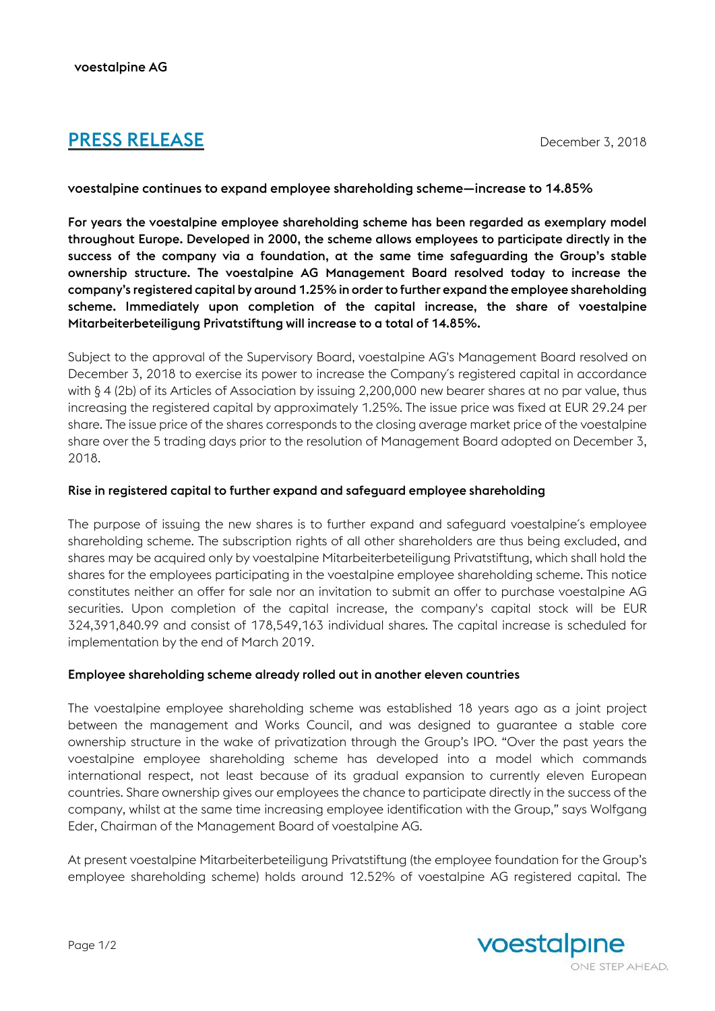# **PRESS RELEASE** December 3, 2018

# voestalpine continues to expand employee shareholding scheme—increase to 14.85%

For years the voestalpine employee shareholding scheme has been regarded as exemplary model throughout Europe. Developed in 2000, the scheme allows employees to participate directly in the success of the company via a foundation, at the same time safeguarding the Group's stable ownership structure. The voestalpine AG Management Board resolved today to increase the company's registered capital by around 1.25% in order to further expand the employee shareholding scheme. Immediately upon completion of the capital increase, the share of voestalpine Mitarbeiterbeteiligung Privatstiftung will increase to a total of 14.85%.

Subject to the approval of the Supervisory Board, voestalpine AG's Management Board resolved on December 3, 2018 to exercise its power to increase the Company´s registered capital in accordance with § 4 (2b) of its Articles of Association by issuing 2,200,000 new bearer shares at no par value, thus increasing the registered capital by approximately 1.25%. The issue price was fixed at EUR 29.24 per share. The issue price of the shares corresponds to the closing average market price of the voestalpine share over the 5 trading days prior to the resolution of Management Board adopted on December 3, 2018.

## Rise in registered capital to further expand and safeguard employee shareholding

The purpose of issuing the new shares is to further expand and safeguard voestalpine´s employee shareholding scheme. The subscription rights of all other shareholders are thus being excluded, and shares may be acquired only by voestalpine Mitarbeiterbeteiligung Privatstiftung, which shall hold the shares for the employees participating in the voestalpine employee shareholding scheme. This notice constitutes neither an offer for sale nor an invitation to submit an offer to purchase voestalpine AG securities. Upon completion of the capital increase, the company's capital stock will be EUR 324,391,840.99 and consist of 178,549,163 individual shares. The capital increase is scheduled for implementation by the end of March 2019.

## Employee shareholding scheme already rolled out in another eleven countries

The voestalpine employee shareholding scheme was established 18 years ago as a joint project between the management and Works Council, and was designed to guarantee a stable core ownership structure in the wake of privatization through the Group's IPO. "Over the past years the voestalpine employee shareholding scheme has developed into a model which commands international respect, not least because of its gradual expansion to currently eleven European countries. Share ownership gives our employees the chance to participate directly in the success of the company, whilst at the same time increasing employee identification with the Group," says Wolfgang Eder, Chairman of the Management Board of voestalpine AG.

At present voestalpine Mitarbeiterbeteiligung Privatstiftung (the employee foundation for the Group's employee shareholding scheme) holds around 12.52% of voestalpine AG registered capital. The